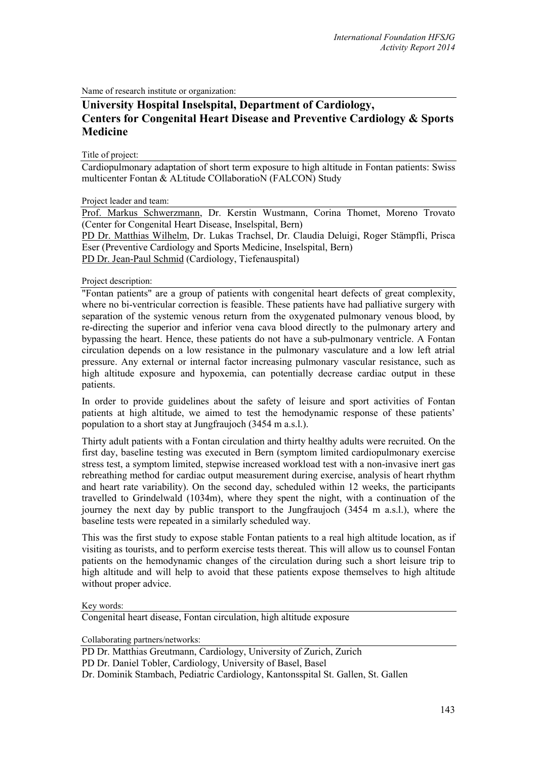Name of research institute or organization:

## **University Hospital Inselspital, Department of Cardiology, Centers for Congenital Heart Disease and Preventive Cardiology & Sports Medicine**

Title of project:

Cardiopulmonary adaptation of short term exposure to high altitude in Fontan patients: Swiss multicenter Fontan & ALtitude COllaboratioN (FALCON) Study

Project leader and team:

Prof. Markus Schwerzmann, Dr. Kerstin Wustmann, Corina Thomet, Moreno Trovato (Center for Congenital Heart Disease, Inselspital, Bern) PD Dr. Matthias Wilhelm, Dr. Lukas Trachsel, Dr. Claudia Deluigi, Roger Stämpfli, Prisca Eser (Preventive Cardiology and Sports Medicine, Inselspital, Bern)

PD Dr. Jean-Paul Schmid (Cardiology, Tiefenauspital)

Project description:

"Fontan patients" are a group of patients with congenital heart defects of great complexity, where no bi-ventricular correction is feasible. These patients have had palliative surgery with separation of the systemic venous return from the oxygenated pulmonary venous blood, by re-directing the superior and inferior vena cava blood directly to the pulmonary artery and bypassing the heart. Hence, these patients do not have a sub-pulmonary ventricle. A Fontan circulation depends on a low resistance in the pulmonary vasculature and a low left atrial pressure. Any external or internal factor increasing pulmonary vascular resistance, such as high altitude exposure and hypoxemia, can potentially decrease cardiac output in these patients.

In order to provide guidelines about the safety of leisure and sport activities of Fontan patients at high altitude, we aimed to test the hemodynamic response of these patients' population to a short stay at Jungfraujoch (3454 m a.s.l.).

Thirty adult patients with a Fontan circulation and thirty healthy adults were recruited. On the first day, baseline testing was executed in Bern (symptom limited cardiopulmonary exercise stress test, a symptom limited, stepwise increased workload test with a non-invasive inert gas rebreathing method for cardiac output measurement during exercise, analysis of heart rhythm and heart rate variability). On the second day, scheduled within 12 weeks, the participants travelled to Grindelwald (1034m), where they spent the night, with a continuation of the journey the next day by public transport to the Jungfraujoch (3454 m a.s.l.), where the baseline tests were repeated in a similarly scheduled way.

This was the first study to expose stable Fontan patients to a real high altitude location, as if visiting as tourists, and to perform exercise tests thereat. This will allow us to counsel Fontan patients on the hemodynamic changes of the circulation during such a short leisure trip to high altitude and will help to avoid that these patients expose themselves to high altitude without proper advice.

Key words:

Congenital heart disease, Fontan circulation, high altitude exposure

Collaborating partners/networks:

PD Dr. Matthias Greutmann, Cardiology, University of Zurich, Zurich PD Dr. Daniel Tobler, Cardiology, University of Basel, Basel Dr. Dominik Stambach, Pediatric Cardiology, Kantonsspital St. Gallen, St. Gallen